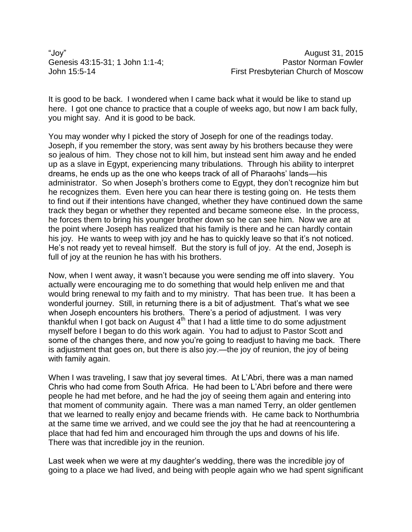"Joy" August 31, 2015

It is good to be back. I wondered when I came back what it would be like to stand up here. I got one chance to practice that a couple of weeks ago, but now I am back fully, you might say. And it is good to be back.

You may wonder why I picked the story of Joseph for one of the readings today. Joseph, if you remember the story, was sent away by his brothers because they were so jealous of him. They chose not to kill him, but instead sent him away and he ended up as a slave in Egypt, experiencing many tribulations. Through his ability to interpret dreams, he ends up as the one who keeps track of all of Pharaohs' lands—his administrator. So when Joseph's brothers come to Egypt, they don't recognize him but he recognizes them. Even here you can hear there is testing going on. He tests them to find out if their intentions have changed, whether they have continued down the same track they began or whether they repented and became someone else. In the process, he forces them to bring his younger brother down so he can see him. Now we are at the point where Joseph has realized that his family is there and he can hardly contain his joy. He wants to weep with joy and he has to quickly leave so that it's not noticed. He's not ready yet to reveal himself. But the story is full of joy. At the end, Joseph is full of joy at the reunion he has with his brothers.

Now, when I went away, it wasn't because you were sending me off into slavery. You actually were encouraging me to do something that would help enliven me and that would bring renewal to my faith and to my ministry. That has been true. It has been a wonderful journey. Still, in returning there is a bit of adjustment. That's what we see when Joseph encounters his brothers. There's a period of adjustment. I was very thankful when I got back on August  $4<sup>th</sup>$  that I had a little time to do some adjustment myself before I began to do this work again. You had to adjust to Pastor Scott and some of the changes there, and now you're going to readjust to having me back. There is adjustment that goes on, but there is also joy.—the joy of reunion, the joy of being with family again.

When I was traveling, I saw that joy several times. At L'Abri, there was a man named Chris who had come from South Africa. He had been to L'Abri before and there were people he had met before, and he had the joy of seeing them again and entering into that moment of community again. There was a man named Terry, an older gentlemen that we learned to really enjoy and became friends with. He came back to Northumbria at the same time we arrived, and we could see the joy that he had at reencountering a place that had fed him and encouraged him through the ups and downs of his life. There was that incredible joy in the reunion.

Last week when we were at my daughter's wedding, there was the incredible joy of going to a place we had lived, and being with people again who we had spent significant